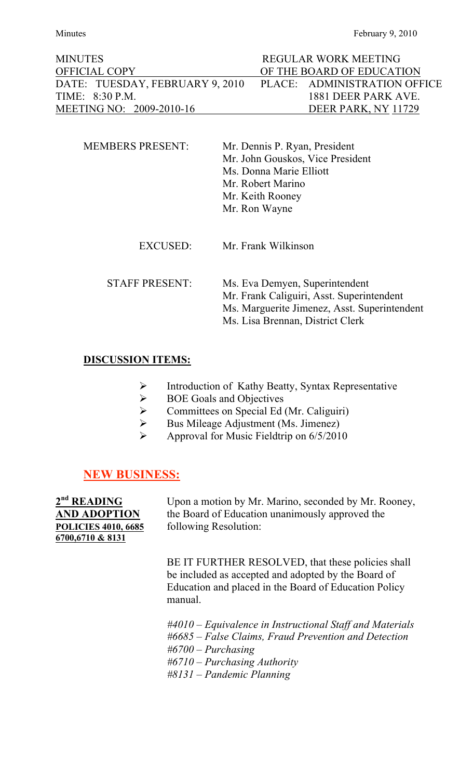| <b>MINUTES</b>                  | REGULAR WORK MEETING         |
|---------------------------------|------------------------------|
| <b>OFFICIAL COPY</b>            | OF THE BOARD OF EDUCATION    |
| DATE: TUESDAY, FEBRUARY 9, 2010 | PLACE: ADMINISTRATION OFFICE |
| TIME: 8:30 P.M.                 | 1881 DEER PARK AVE.          |
| MEETING NO: 2009-2010-16        | DEER PARK, NY 11729          |

| <b>MEMBERS PRESENT:</b> | Mr. Dennis P. Ryan, President<br>Mr. John Gouskos, Vice President<br>Ms. Donna Marie Elliott<br>Mr. Robert Marino<br>Mr. Keith Rooney<br>Mr. Ron Wayne |
|-------------------------|--------------------------------------------------------------------------------------------------------------------------------------------------------|
| EXCUSED:                | Mr. Frank Wilkinson                                                                                                                                    |
| <b>STAFF PRESENT:</b>   | Ms. Eva Demyen, Superintendent<br>Mr. Frank Caliguiri, Asst. Superintendent<br>Ms. Marguerite Jimenez, Asst. Superintendent                            |

# Ms. Lisa Brennan, District Clerk

### **DISCUSSION ITEMS:**

- Introduction of Kathy Beatty, Syntax Representative
- $\triangleright$  BOE Goals and Objectives
- Committees on Special Ed (Mr. Caliguiri)
- $\triangleright$  Bus Mileage Adjustment (Ms. Jimenez)
- $\triangleright$  Approval for Music Fieldtrip on 6/5/2010

### **NEW BUSINESS:**

**POLICIES 4010, 6685** following Resolution: **6700,6710 & 8131**

2<sup>nd</sup> **READING** Upon a motion by Mr. Marino, seconded by Mr. Rooney, **D ADOPTION** the Board of Education unanimously approved the

> BE IT FURTHER RESOLVED, that these policies shall be included as accepted and adopted by the Board of Education and placed in the Board of Education Policy manual.

*#4010 – Equivalence in Instructional Staff and Materials #6685 – False Claims, Fraud Prevention and Detection #6700 – Purchasing #6710 – Purchasing Authority #8131 – Pandemic Planning*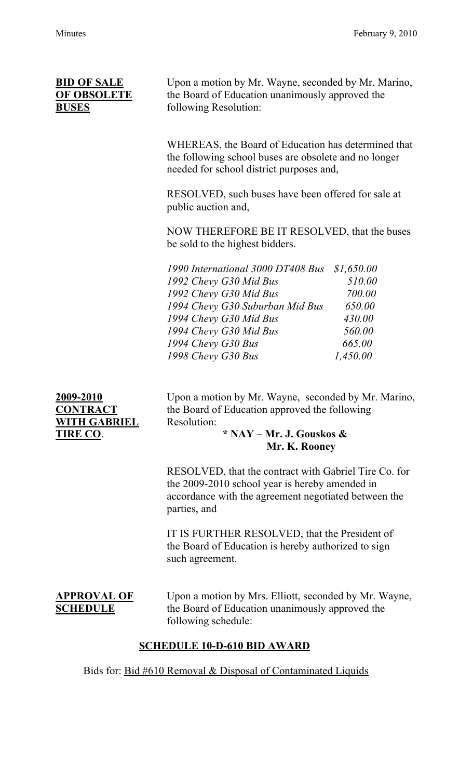**BID OF SALE** Upon a motion by Mr. Wayne, seconded by Mr. Marino, **OF OBSOLETE** the Board of Education unanimously approved the **BUSES** following Resolution:

> WHEREAS, the Board of Education has determined that the following school buses are obsolete and no longer needed for school district purposes and,

RESOLVED, such buses have been offered for sale at public auction and,

NOW THEREFORE BE IT RESOLVED, that the buses be sold to the highest bidders.

| 1990 International 3000 DT408 Bus \$1,650.00 |          |
|----------------------------------------------|----------|
| 1992 Chevy G30 Mid Bus                       | 510.00   |
| 1992 Chevy G30 Mid Bus                       | 700.00   |
| 1994 Chevy G30 Suburban Mid Bus              | 650.00   |
| 1994 Chevy G30 Mid Bus                       | 430.00   |
| 1994 Chevy G30 Mid Bus                       | 560.00   |
| 1994 Chevy G30 Bus                           | 665.00   |
| 1998 Chevy G30 Bus                           | 1,450.00 |

**WITH GABRIEL** Resolution:

**2009-2010** Upon a motion by Mr. Wayne, seconded by Mr. Marino, **CONTRACT** the Board of Education approved the following

## **TIRE CO**. **\* NAY – Mr. J. Gouskos & Mr. K. Rooney**

RESOLVED, that the contract with Gabriel Tire Co. for the 2009-2010 school year is hereby amended in accordance with the agreement negotiated between the parties, and

IT IS FURTHER RESOLVED, that the President of the Board of Education is hereby authorized to sign such agreement.

**APPROVAL OF** Upon a motion by Mrs. Elliott, seconded by Mr. Wayne, **SCHEDULE** the Board of Education unanimously approved the following schedule:

## **SCHEDULE 10-D-610 BID AWARD**

Bids for: Bid #610 Removal & Disposal of Contaminated Liquids